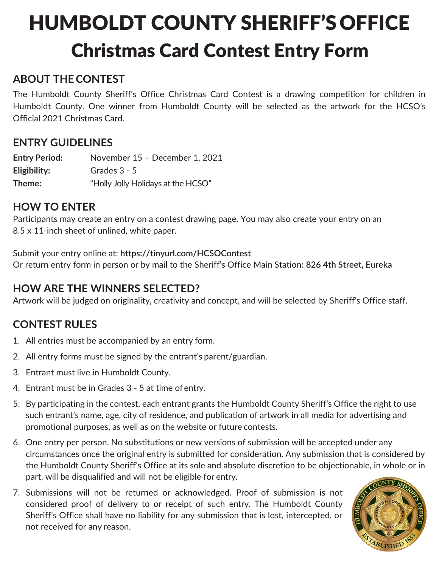# HUMBOLDT COUNTY SHERIFF'S OFFICE Christmas Card Contest Entry Form

### **ABOUT THECONTEST**

The Humboldt County Sheriff's Office Christmas Card Contest is a drawing competition for children in Humboldt County. One winner from Humboldt County will be selected as the artwork for the HCSO's Official 2021 Christmas Card.

#### **ENTRY GUIDELINES**

**Entry Period:** November 15 – December 1, 2021 **Eligibility:** Grades 3 - 5 **Theme:** "Holly Jolly Holidays at the HCSO"

#### **HOW TO ENTER**

Participants may create an entry on a contest drawing page. You may also create your entry on an 8.5 x 11-inch sheet of unlined, white paper.

Submit your entry online at: **https://tinyurl.com/HCSOContest** Or return entry form in person or by mail to the Sheriff's Office Main Station: **826 4th Street, Eureka**

### **HOW ARE THE WINNERS SELECTED?**

Artwork will be judged on originality, creativity and concept, and will be selected by Sheriff's Office staff.

### **CONTEST RULES**

- 1. All entries must be accompanied by an entry form.
- 2. All entry forms must be signed by the entrant's parent/guardian.
- 3. Entrant must live in Humboldt County.
- 4. Entrant must be in Grades 3 5 at time of entry.
- 5. By participating in the contest, each entrant grants the Humboldt County Sheriff's Office the right to use such entrant's name, age, city of residence, and publication of artwork in all media for advertising and promotional purposes, as well as on the website or future contests.
- 6. One entry per person. No substitutions or new versions of submission will be accepted under any circumstances once the original entry is submitted for consideration. Any submission that is considered by the Humboldt County Sheriff's Office at its sole and absolute discretion to be objectionable, in whole or in part, will be disqualified and will not be eligible for entry.
- 7. Submissions will not be returned or acknowledged. Proof of submission is not considered proof of delivery to or receipt of such entry. The Humboldt County Sheriff's Office shall have no liability for any submission that is lost, intercepted, or not received for any reason.

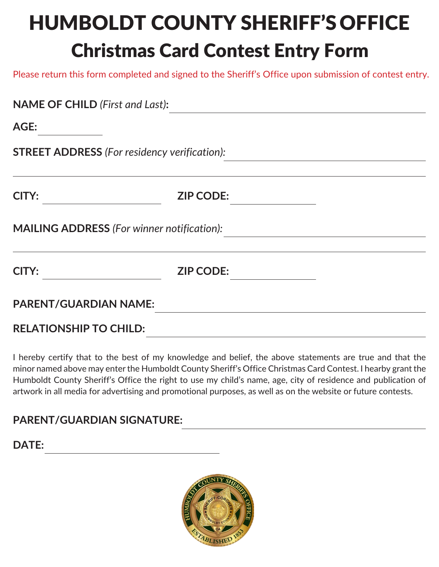# HUMBOLDT COUNTY SHERIFF'S OFFICE Christmas Card Contest Entry Form

Please return this form completed and signed to the Sheriff's Office upon submission of contest entry.

| <b>NAME OF CHILD (First and Last):</b> |                                                     |  |
|----------------------------------------|-----------------------------------------------------|--|
| AGE:                                   |                                                     |  |
|                                        | <b>STREET ADDRESS</b> (For residency verification): |  |
| <b>CITY:</b>                           | <b>ZIP CODE:</b>                                    |  |
|                                        | <b>MAILING ADDRESS</b> (For winner notification):   |  |
| <b>CITY:</b>                           | <b>ZIP CODE:</b>                                    |  |
| <b>PARENT/GUARDIAN NAME:</b>           |                                                     |  |
| <b>RELATIONSHIP TO CHILD:</b>          |                                                     |  |

I hereby certify that to the best of my knowledge and belief, the above statements are true and that the minor named above may enter the Humboldt County Sheriff's Office Christmas Card Contest. I hearby grant the Humboldt County Sheriff's Office the right to use my child's name, age, city of residence and publication of artwork in all media for advertising and promotional purposes, as well as on the website or future contests.

### **PARENT/GUARDIAN SIGNATURE:**

**DATE:**